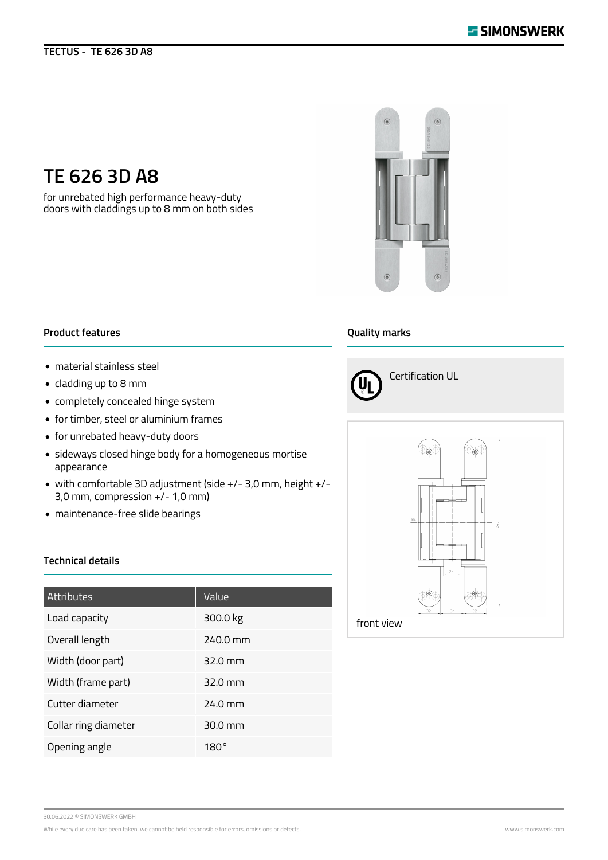## **TECTUS - TE 626 3D A8**



# **TE 626 3D A8**

for unrebated high performance heavy-duty doors with claddings up to 8 mm on both sides

### **Product features**

- material stainless steel
- cladding up to 8 mm
- completely concealed hinge system
- for timber, steel or aluminium frames
- for unrebated heavy-duty doors
- sideways closed hinge body for a homogeneous mortise appearance
- with comfortable 3D adjustment (side +/- 3,0 mm, height +/- 3,0 mm, compression +/- 1,0 mm)
- maintenance-free slide bearings

#### **Technical details**

| <b>Attributes</b>    | Value             |
|----------------------|-------------------|
| Load capacity        | 300.0 kg          |
| Overall length       | 240.0 mm          |
| Width (door part)    | $32.0 \text{ mm}$ |
| Width (frame part)   | $32.0 \text{ mm}$ |
| Cutter diameter      | $24.0$ mm         |
| Collar ring diameter | $30.0 \text{ mm}$ |
| Opening angle        | 180°              |

#### **Quality marks**





30.06.2022 © SIMONSWERK GMBH

While every due care has been taken, we cannot be held responsible for errors, omissions or defects. While every due on the substitution www.simonswerk.com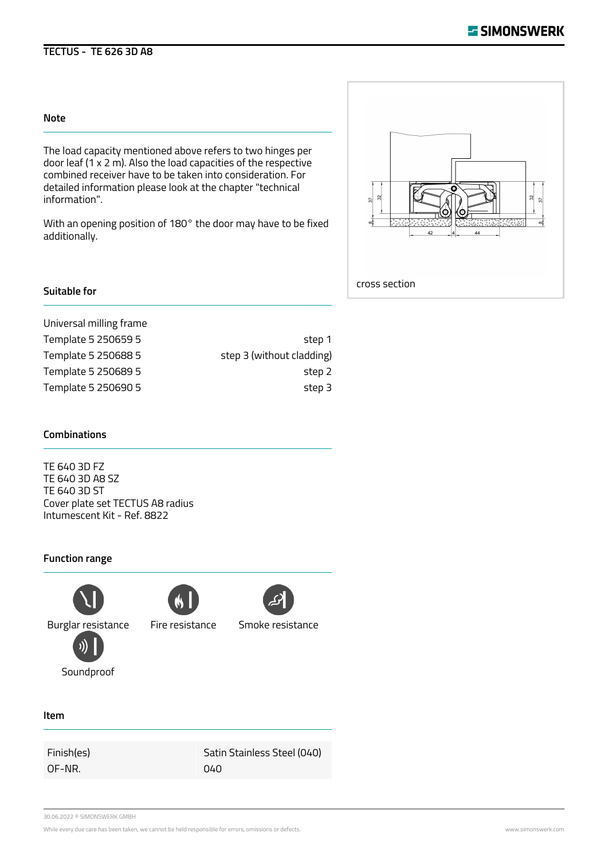# **TECTUS - TE 626 3D A8**

#### **Note**

The load capacity mentioned above refers to two hinges per door leaf  $(1 \times 2 \text{ m})$ . Also the load capacities of the respective combined receiver have to be taken into consideration. For detailed information please look at the chapter "technical information".

With an opening position of 180° the door may have to be fixed additionally.



#### **Suitable for**

Universal milling frame Template 5 250659 5 step 1 Template 5 250688 5 step 3 (without cladding) Template 5 250689 5 step 2 Template 5 250690 5 step 3

#### **Combinations**

TE 640 3D FZ TE 640 3D A8 SZ TE 640 3D ST Cover plate set TECTUS A8 radius Intumescent Kit - Ref. 8822

#### **Function range**



Soundproof



Burglar resistance Fire resistance Smoke resistance

**Item**

OF-NR. 040

Finish(es) Satin Stainless Steel (040)

30.06.2022 © SIMONSWERK GMBH

While every due care has been taken, we cannot be held responsible for errors, omissions or defects. Www.simonswerk.com www.simonswerk.com